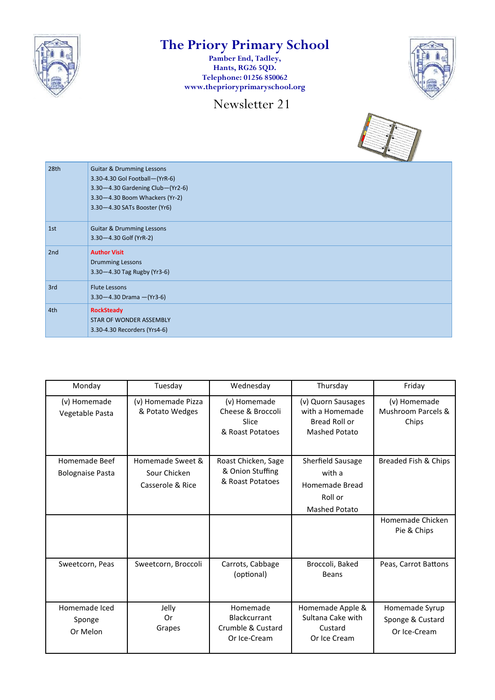

## **The Priory Primary School**

**Pamber End, Tadley, Hants, RG26 5QD. Telephone: 01256 850062 www.theprioryprimaryschool.org**

Newsletter 21





| 28th | <b>Guitar &amp; Drumming Lessons</b><br>3.30-4.30 Gol Football-(YrR-6)<br>3.30-4.30 Gardening Club-(Yr2-6)<br>3.30-4.30 Boom Whackers (Yr-2)<br>3.30-4.30 SATs Booster (Yr6) |
|------|------------------------------------------------------------------------------------------------------------------------------------------------------------------------------|
| 1st  | <b>Guitar &amp; Drumming Lessons</b><br>3.30-4.30 Golf (YrR-2)                                                                                                               |
| 2nd  | <b>Author Visit</b><br><b>Drumming Lessons</b><br>3.30-4.30 Tag Rugby (Yr3-6)                                                                                                |
| 3rd  | <b>Flute Lessons</b><br>$3.30 - 4.30$ Drama $-(Yr3-6)$                                                                                                                       |
| 4th  | <b>RockSteady</b><br>STAR OF WONDER ASSEMBLY<br>3.30-4.30 Recorders (Yrs4-6)                                                                                                 |

| Monday                                   | Tuesday                                              | Wednesday                                                            | Thursday                                                                                | Friday                                                  |
|------------------------------------------|------------------------------------------------------|----------------------------------------------------------------------|-----------------------------------------------------------------------------------------|---------------------------------------------------------|
| (v) Homemade<br>Vegetable Pasta          | (v) Homemade Pizza<br>& Potato Wedges                | (v) Homemade<br>Cheese & Broccoli<br>Slice<br>& Roast Potatoes       | (v) Quorn Sausages<br>with a Homemade<br>Bread Roll or<br><b>Mashed Potato</b>          | (v) Homemade<br><b>Mushroom Parcels &amp;</b><br>Chips  |
| Homemade Beef<br><b>Bolognaise Pasta</b> | Homemade Sweet &<br>Sour Chicken<br>Casserole & Rice | Roast Chicken, Sage<br>& Onion Stuffing<br>& Roast Potatoes          | <b>Sherfield Sausage</b><br>with a<br>Homemade Bread<br>Roll or<br><b>Mashed Potato</b> | Breaded Fish & Chips<br>Homemade Chicken<br>Pie & Chips |
| Sweetcorn, Peas                          | Sweetcorn, Broccoli                                  | Carrots, Cabbage<br>(optional)                                       | Broccoli, Baked<br><b>Beans</b>                                                         | Peas, Carrot Battons                                    |
| Homemade Iced<br>Sponge<br>Or Melon      | Jelly<br>Or<br>Grapes                                | Homemade<br><b>Blackcurrant</b><br>Crumble & Custard<br>Or Ice-Cream | Homemade Apple &<br>Sultana Cake with<br>Custard<br>Or Ice Cream                        | Homemade Syrup<br>Sponge & Custard<br>Or Ice-Cream      |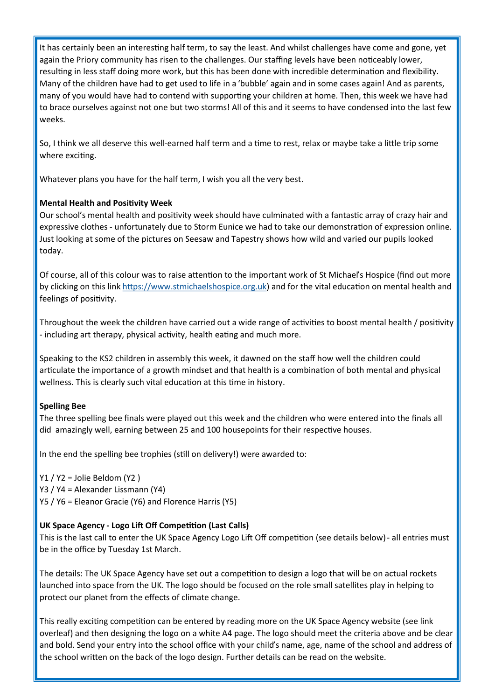It has certainly been an interesting half term, to say the least. And whilst challenges have come and gone, yet again the Priory community has risen to the challenges. Our staffing levels have been noticeably lower, resulting in less staff doing more work, but this has been done with incredible determination and flexibility. Many of the children have had to get used to life in a 'bubble' again and in some cases again! And as parents, many of you would have had to contend with supporting your children at home. Then, this week we have had to brace ourselves against not one but two storms! All of this and it seems to have condensed into the last few weeks.

So, I think we all deserve this well-earned half term and a time to rest, relax or maybe take a little trip some where exciting.

Whatever plans you have for the half term, I wish you all the very best.

### **Mental Health and Positivity Week**

Our school's mental health and positivity week should have culminated with a fantastic array of crazy hair and expressive clothes - unfortunately due to Storm Eunice we had to take our demonstration of expression online. Just looking at some of the pictures on Seesaw and Tapestry shows how wild and varied our pupils looked today.

Of course, all of this colour was to raise attention to the important work of St Michael's Hospice (find out more by clicking on this link [https://www.stmichaelshospice.org.uk\)](https://www.stmichaelshospice.org.uk) and for the vital education on mental health and feelings of positivity.

Throughout the week the children have carried out a wide range of activities to boost mental health / positivity - including art therapy, physical activity, health eating and much more.

Speaking to the KS2 children in assembly this week, it dawned on the staff how well the children could articulate the importance of a growth mindset and that health is a combination of both mental and physical wellness. This is clearly such vital education at this time in history.

### **Spelling Bee**

The three spelling bee finals were played out this week and the children who were entered into the finals all did amazingly well, earning between 25 and 100 housepoints for their respective houses.

In the end the spelling bee trophies (still on delivery!) were awarded to:

Y1 / Y2 = Jolie Beldom (Y2 ) Y3 / Y4 = Alexander Lissmann (Y4) Y5 / Y6 = Eleanor Gracie (Y6) and Florence Harris (Y5)

### **UK Space Agency - Logo Lift Off Competition (Last Calls)**

This is the last call to enter the UK Space Agency Logo Lift Off competition (see details below) - all entries must be in the office by Tuesday 1st March.

The details: The UK Space Agency have set out a competition to design a logo that will be on actual rockets launched into space from the UK. The logo should be focused on the role small satellites play in helping to protect our planet from the effects of climate change.

This really exciting competition can be entered by reading more on the UK Space Agency website (see link overleaf) and then designing the logo on a white A4 page. The logo should meet the criteria above and be clear and bold. Send your entry into the school office with your child's name, age, name of the school and address of the school written on the back of the logo design. Further details can be read on the website.